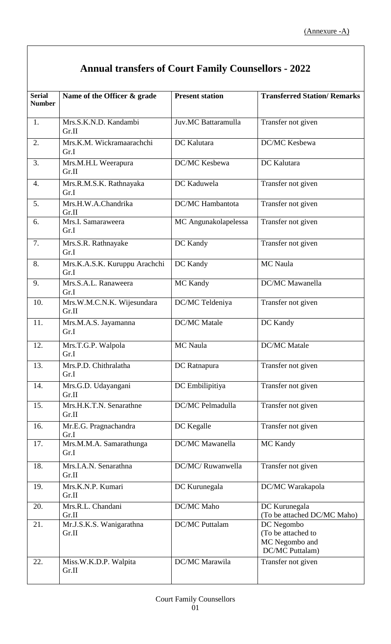## **Annual transfers of Court Family Counsellors - 2022**

| <b>Serial</b> | Name of the Officer & grade           | <b>Present station</b> | <b>Transferred Station/ Remarks</b>                                   |
|---------------|---------------------------------------|------------------------|-----------------------------------------------------------------------|
| <b>Number</b> |                                       |                        |                                                                       |
| 1.            | Mrs.S.K.N.D. Kandambi<br>Gr.II        | Juv.MC Battaramulla    | Transfer not given                                                    |
| 2.            | Mrs.K.M. Wickramaarachchi<br>Gr.I     | DC Kalutara            | DC/MC Kesbewa                                                         |
| 3.            | Mrs.M.H.L Weerapura<br>Gr.II          | DC/MC Kesbewa          | DC Kalutara                                                           |
| 4.            | Mrs.R.M.S.K. Rathnayaka<br>Gr.I       | DC Kaduwela            | Transfer not given                                                    |
| 5.            | Mrs.H.W.A.Chandrika<br>Gr.II          | DC/MC Hambantota       | Transfer not given                                                    |
| 6.            | Mrs.I. Samaraweera<br>Gr.I            | MC Angunakolapelessa   | Transfer not given                                                    |
| 7.            | Mrs.S.R. Rathnayake<br>Gr.I           | DC Kandy               | Transfer not given                                                    |
| 8.            | Mrs.K.A.S.K. Kuruppu Arachchi<br>Gr.I | DC Kandy               | MC Naula                                                              |
| 9.            | Mrs.S.A.L. Ranaweera<br>Gr.I          | MC Kandy               | <b>DC/MC</b> Mawanella                                                |
| 10.           | Mrs.W.M.C.N.K. Wijesundara<br>Gr.II   | DC/MC Teldeniya        | Transfer not given                                                    |
| 11.           | Mrs.M.A.S. Jayamanna<br>Gr.I          | <b>DC/MC</b> Matale    | DC Kandy                                                              |
| 12.           | Mrs.T.G.P. Walpola<br>Gr.I            | MC Naula               | <b>DC/MC</b> Matale                                                   |
| 13.           | Mrs.P.D. Chithralatha<br>Gr.I         | DC Ratnapura           | Transfer not given                                                    |
| 14.           | Mrs.G.D. Udayangani<br>Gr.II          | DC Embilipitiya        | Transfer not given                                                    |
| 15.           | Mrs.H.K.T.N. Senarathne<br>Gr.II      | DC/MC Pelmadulla       | Transfer not given                                                    |
| 16.           | Mr.E.G. Pragnachandra<br>Gr.I         | DC Kegalle             | Transfer not given                                                    |
| 17.           | Mrs.M.M.A. Samarathunga<br>Gr.I       | DC/MC Mawanella        | MC Kandy                                                              |
| 18.           | Mrs.I.A.N. Senarathna<br>Gr.II        | DC/MC/Ruwanwella       | Transfer not given                                                    |
| 19.           | Mrs.K.N.P. Kumari<br>Gr.II            | DC Kurunegala          | DC/MC Warakapola                                                      |
| 20.           | Mrs.R.L. Chandani<br>Gr.II            | DC/MC Maho             | DC Kurunegala<br>(To be attached DC/MC Maho)                          |
| 21.           | Mr.J.S.K.S. Wanigarathna<br>Gr.II     | <b>DC/MC</b> Puttalam  | DC Negombo<br>(To be attached to<br>MC Negombo and<br>DC/MC Puttalam) |
| 22.           | Miss.W.K.D.P. Walpita<br>Gr.II        | DC/MC Marawila         | Transfer not given                                                    |